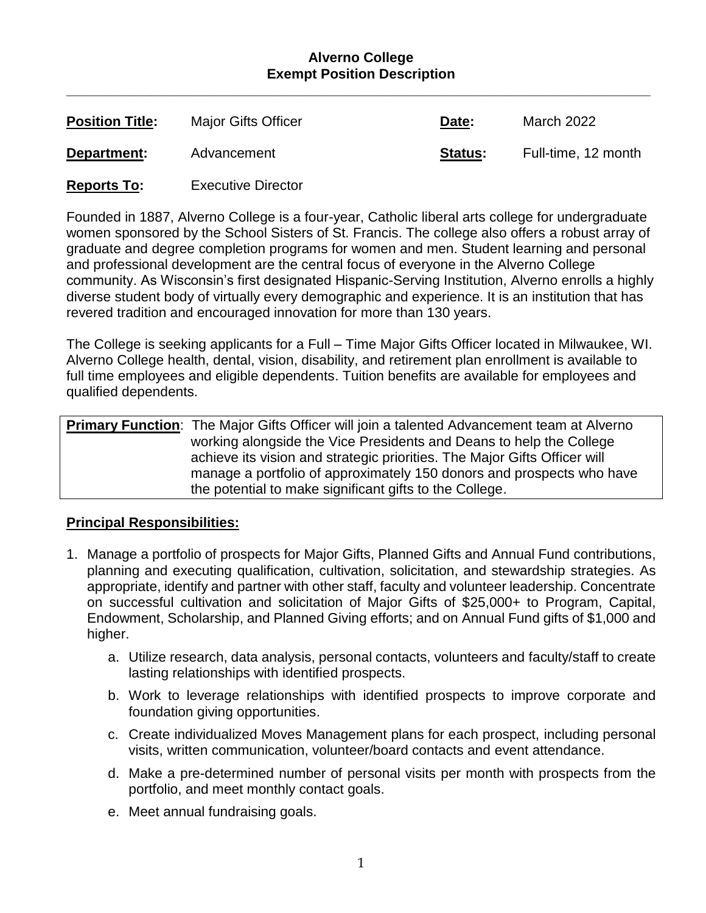#### **Alverno College Exempt Position Description**

**\_\_\_\_\_\_\_\_\_\_\_\_\_\_\_\_\_\_\_\_\_\_\_\_\_\_\_\_\_\_\_\_\_\_\_\_\_\_\_\_\_\_\_\_\_\_\_\_\_\_\_\_\_\_\_\_\_\_\_\_\_\_\_\_\_\_\_\_\_\_\_\_\_\_\_\_**

| <b>Position Title:</b> | <b>Major Gifts Officer</b> | Date:          | March 2022          |
|------------------------|----------------------------|----------------|---------------------|
| Department:            | Advancement                | <b>Status:</b> | Full-time, 12 month |
|                        |                            |                |                     |

**Reports To:** Executive Director

Founded in 1887, Alverno College is a four-year, Catholic liberal arts college for undergraduate women sponsored by the School Sisters of St. Francis. The college also offers a robust array of graduate and degree completion programs for women and men. Student learning and personal and professional development are the central focus of everyone in the Alverno College community. As Wisconsin's first designated Hispanic-Serving Institution, Alverno enrolls a highly diverse student body of virtually every demographic and experience. It is an institution that has revered tradition and encouraged innovation for more than 130 years.

The College is seeking applicants for a Full – Time Major Gifts Officer located in Milwaukee, WI. Alverno College health, dental, vision, disability, and retirement plan enrollment is available to full time employees and eligible dependents. Tuition benefits are available for employees and qualified dependents.

**Primary Function**: The Major Gifts Officer will join a talented Advancement team at Alverno working alongside the Vice Presidents and Deans to help the College achieve its vision and strategic priorities. The Major Gifts Officer will manage a portfolio of approximately 150 donors and prospects who have the potential to make significant gifts to the College.

# **Principal Responsibilities:**

- 1. Manage a portfolio of prospects for Major Gifts, Planned Gifts and Annual Fund contributions, planning and executing qualification, cultivation, solicitation, and stewardship strategies. As appropriate, identify and partner with other staff, faculty and volunteer leadership. Concentrate on successful cultivation and solicitation of Major Gifts of \$25,000+ to Program, Capital, Endowment, Scholarship, and Planned Giving efforts; and on Annual Fund gifts of \$1,000 and higher.
	- a. Utilize research, data analysis, personal contacts, volunteers and faculty/staff to create lasting relationships with identified prospects.
	- b. Work to leverage relationships with identified prospects to improve corporate and foundation giving opportunities.
	- c. Create individualized Moves Management plans for each prospect, including personal visits, written communication, volunteer/board contacts and event attendance.
	- d. Make a pre-determined number of personal visits per month with prospects from the portfolio, and meet monthly contact goals.
	- e. Meet annual fundraising goals.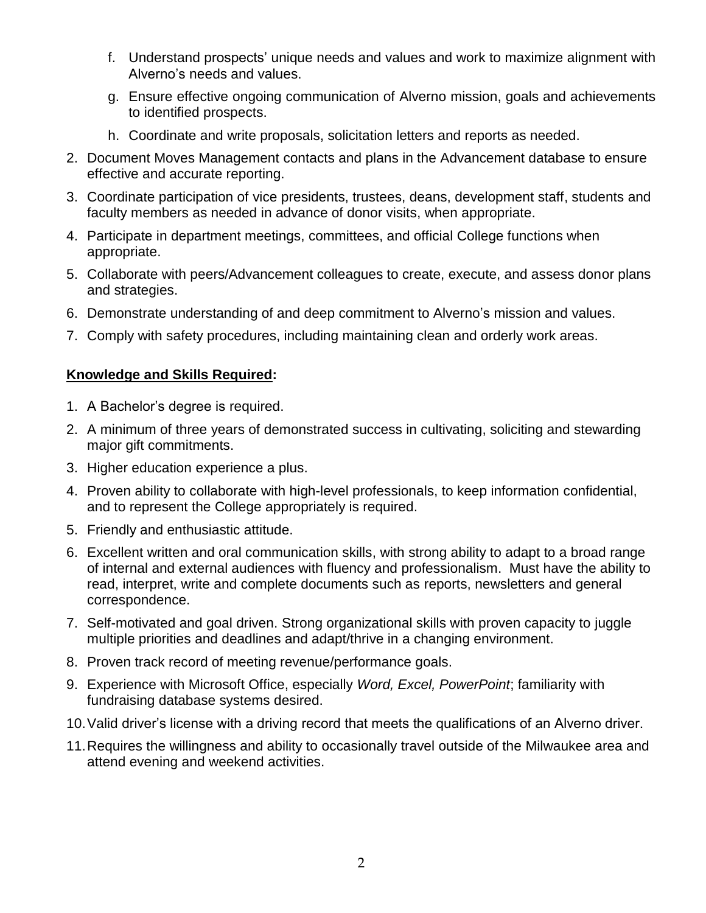- f. Understand prospects' unique needs and values and work to maximize alignment with Alverno's needs and values.
- g. Ensure effective ongoing communication of Alverno mission, goals and achievements to identified prospects.
- h. Coordinate and write proposals, solicitation letters and reports as needed.
- 2. Document Moves Management contacts and plans in the Advancement database to ensure effective and accurate reporting.
- 3. Coordinate participation of vice presidents, trustees, deans, development staff, students and faculty members as needed in advance of donor visits, when appropriate.
- 4. Participate in department meetings, committees, and official College functions when appropriate.
- 5. Collaborate with peers/Advancement colleagues to create, execute, and assess donor plans and strategies.
- 6. Demonstrate understanding of and deep commitment to Alverno's mission and values.
- 7. Comply with safety procedures, including maintaining clean and orderly work areas.

# **Knowledge and Skills Required:**

- 1. A Bachelor's degree is required.
- 2. A minimum of three years of demonstrated success in cultivating, soliciting and stewarding major gift commitments.
- 3. Higher education experience a plus.
- 4. Proven ability to collaborate with high-level professionals, to keep information confidential, and to represent the College appropriately is required.
- 5. Friendly and enthusiastic attitude.
- 6. Excellent written and oral communication skills, with strong ability to adapt to a broad range of internal and external audiences with fluency and professionalism. Must have the ability to read, interpret, write and complete documents such as reports, newsletters and general correspondence.
- 7. Self-motivated and goal driven. Strong organizational skills with proven capacity to juggle multiple priorities and deadlines and adapt/thrive in a changing environment.
- 8. Proven track record of meeting revenue/performance goals.
- 9. Experience with Microsoft Office, especially *Word, Excel, PowerPoint*; familiarity with fundraising database systems desired.
- 10.Valid driver's license with a driving record that meets the qualifications of an Alverno driver.
- 11.Requires the willingness and ability to occasionally travel outside of the Milwaukee area and attend evening and weekend activities.